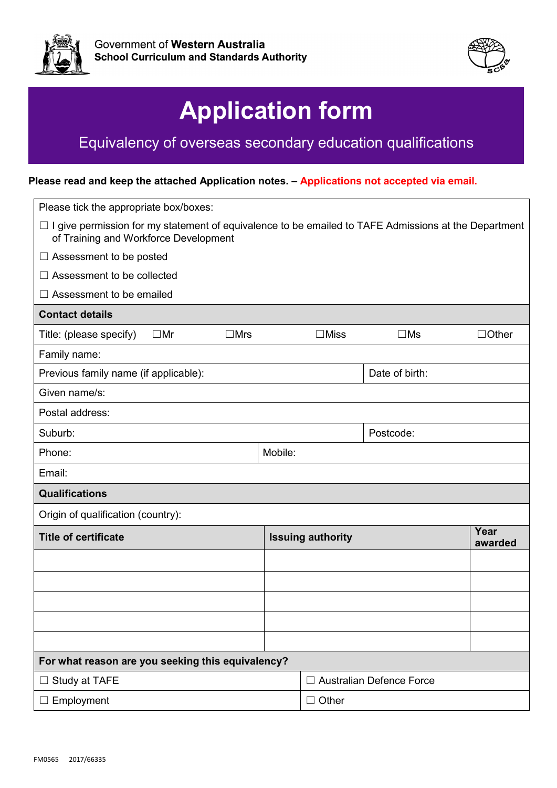



## **Application form**

## Equivalency of overseas secondary education qualifications

## **Please read and keep the attached Application notes. – Applications not accepted via email.**

| Please tick the appropriate box/boxes:                                                                                                                    |         |                          |                                 |              |  |  |  |  |
|-----------------------------------------------------------------------------------------------------------------------------------------------------------|---------|--------------------------|---------------------------------|--------------|--|--|--|--|
| I give permission for my statement of equivalence to be emailed to TAFE Admissions at the Department<br>$\sqcup$<br>of Training and Workforce Development |         |                          |                                 |              |  |  |  |  |
| $\Box$ Assessment to be posted                                                                                                                            |         |                          |                                 |              |  |  |  |  |
| $\Box$ Assessment to be collected                                                                                                                         |         |                          |                                 |              |  |  |  |  |
| Assessment to be emailed<br>$\perp$                                                                                                                       |         |                          |                                 |              |  |  |  |  |
| <b>Contact details</b>                                                                                                                                    |         |                          |                                 |              |  |  |  |  |
| $\square$ Mrs<br>Title: (please specify)<br>$\square$ Mr                                                                                                  |         | $\square$ Miss           | $\square$ Ms                    | $\Box$ Other |  |  |  |  |
| Family name:                                                                                                                                              |         |                          |                                 |              |  |  |  |  |
| Previous family name (if applicable):                                                                                                                     |         |                          | Date of birth:                  |              |  |  |  |  |
| Given name/s:                                                                                                                                             |         |                          |                                 |              |  |  |  |  |
| Postal address:                                                                                                                                           |         |                          |                                 |              |  |  |  |  |
| Suburb:                                                                                                                                                   |         |                          | Postcode:                       |              |  |  |  |  |
| Phone:                                                                                                                                                    | Mobile: |                          |                                 |              |  |  |  |  |
| Email:                                                                                                                                                    |         |                          |                                 |              |  |  |  |  |
| <b>Qualifications</b>                                                                                                                                     |         |                          |                                 |              |  |  |  |  |
| Origin of qualification (country):                                                                                                                        |         |                          |                                 |              |  |  |  |  |
| <b>Title of certificate</b>                                                                                                                               |         | <b>Issuing authority</b> |                                 |              |  |  |  |  |
|                                                                                                                                                           |         |                          |                                 | awarded      |  |  |  |  |
|                                                                                                                                                           |         |                          |                                 |              |  |  |  |  |
|                                                                                                                                                           |         |                          |                                 |              |  |  |  |  |
|                                                                                                                                                           |         |                          |                                 |              |  |  |  |  |
|                                                                                                                                                           |         |                          |                                 |              |  |  |  |  |
| For what reason are you seeking this equivalency?                                                                                                         |         |                          |                                 |              |  |  |  |  |
| Study at TAFE<br>$\Box$                                                                                                                                   |         |                          | <b>Australian Defence Force</b> |              |  |  |  |  |
| $\Box$ Employment                                                                                                                                         |         | $\Box$ Other             |                                 |              |  |  |  |  |